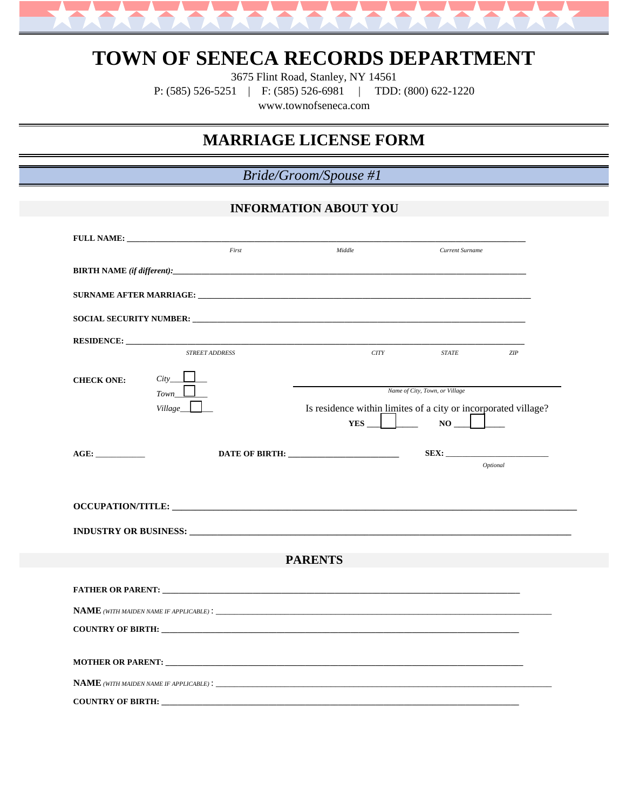

# **TOWN OF SENECA RECORDS DEPARTMENT**

3675 Flint Road, Stanley, NY 14561

P: (585) 526-5251 | F: (585) 526-6981 | TDD: (800) 622-1220

www.townofseneca.com

## **MARRIAGE LICENSE FORM**

*Bride/Groom/Spouse #1*

## **INFORMATION ABOUT YOU**

|                   | First                       | Middle                         | Current Surname                                                |  |
|-------------------|-----------------------------|--------------------------------|----------------------------------------------------------------|--|
|                   |                             |                                |                                                                |  |
|                   |                             |                                |                                                                |  |
|                   |                             |                                |                                                                |  |
|                   |                             |                                |                                                                |  |
|                   |                             |                                |                                                                |  |
|                   | <b>STREET ADDRESS</b>       | CITY                           | <b>STATE</b><br>ZIP                                            |  |
| <b>CHECK ONE:</b> | $City$ <sub>__</sub> $\Box$ |                                |                                                                |  |
|                   | $Town$ <sub>_</sub>         | Name of City, Town, or Village |                                                                |  |
|                   | Village_                    |                                | Is residence within limites of a city or incorporated village? |  |
|                   |                             |                                | $YES$ $\Box$ NO $\Box$                                         |  |
|                   |                             |                                |                                                                |  |
|                   |                             |                                | Optional                                                       |  |
|                   |                             |                                |                                                                |  |
|                   |                             |                                |                                                                |  |
| <b>PARENTS</b>    |                             |                                |                                                                |  |
|                   |                             |                                |                                                                |  |
|                   |                             |                                |                                                                |  |
|                   |                             |                                |                                                                |  |
|                   |                             |                                |                                                                |  |
|                   |                             |                                |                                                                |  |
|                   |                             |                                |                                                                |  |
|                   |                             |                                |                                                                |  |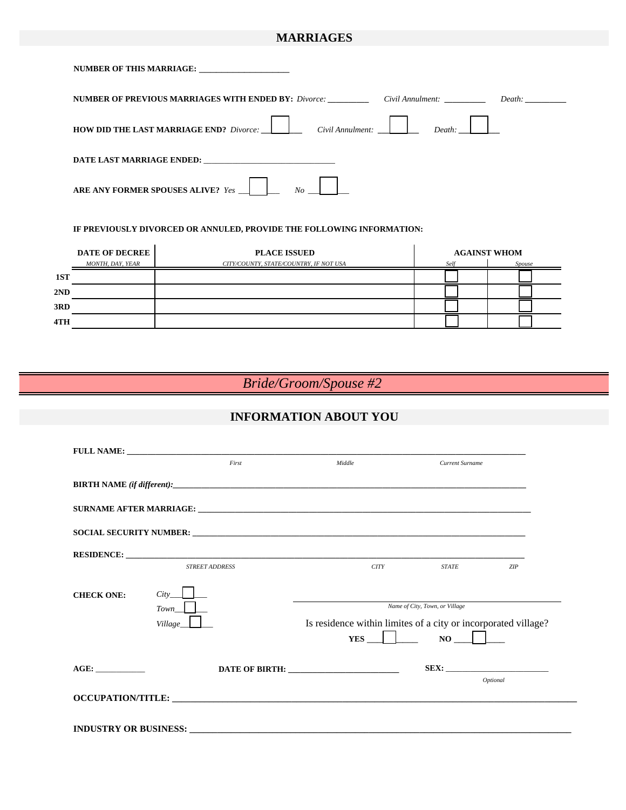### **MARRIAGES**

| NUMBER OF THIS MARRIAGE:                                                     |        |
|------------------------------------------------------------------------------|--------|
| <b>NUMBER OF PREVIOUS MARRIAGES WITH ENDED BY:</b> Divorce: Civil Annulment: | Death: |
| <b>HOW DID THE LAST MARRIAGE END?</b> Divorce: Civil Annulment:              |        |
| DATE LAST MARRIAGE ENDED:                                                    |        |
| ARE ANY FORMER SPOUSES ALIVE? Yes<br>No                                      |        |

#### **IF PREVIOUSLY DIVORCED OR ANNULED, PROVIDE THE FOLLOWING INFORMATION:**

|     | <b>DATE OF DECREE</b> | <b>PLACE ISSUED</b>                    |      | <b>AGAINST WHOM</b> |
|-----|-----------------------|----------------------------------------|------|---------------------|
|     | MONTH, DAY, YEAR      | CITY/COUNTY, STATE/COUNTRY, IF NOT USA | Self | Spouse              |
| 1ST |                       |                                        |      |                     |
| 2ND |                       |                                        |      |                     |
| 3RD |                       |                                        |      |                     |
| 4TH |                       |                                        |      |                     |

## *Bride/Groom/Spouse #2*

## **INFORMATION ABOUT YOU**

|                                                                                                                                                                                                                                            | <b>FULL NAME:</b> The contract of the contract of the contract of the contract of the contract of the contract of the contract of the contract of the contract of the contract of the contract of the contract of the contract of t |                                                                         |                                |     |
|--------------------------------------------------------------------------------------------------------------------------------------------------------------------------------------------------------------------------------------------|-------------------------------------------------------------------------------------------------------------------------------------------------------------------------------------------------------------------------------------|-------------------------------------------------------------------------|--------------------------------|-----|
|                                                                                                                                                                                                                                            | First                                                                                                                                                                                                                               | Middle                                                                  | Current Surname                |     |
|                                                                                                                                                                                                                                            | <b>BIRTH NAME</b> (if different):                                                                                                                                                                                                   |                                                                         |                                |     |
|                                                                                                                                                                                                                                            |                                                                                                                                                                                                                                     |                                                                         |                                |     |
|                                                                                                                                                                                                                                            | SOCIAL SECURITY NUMBER: The contract of the contract of the contract of the contract of the contract of the contract of the contract of the contract of the contract of the contract of the contract of the contract of the co      |                                                                         |                                |     |
|                                                                                                                                                                                                                                            |                                                                                                                                                                                                                                     |                                                                         |                                |     |
|                                                                                                                                                                                                                                            | <b>STREET ADDRESS</b>                                                                                                                                                                                                               | <b>CITY</b>                                                             | <b>STATE</b>                   | ZIP |
| <b>CHECK ONE:</b>                                                                                                                                                                                                                          | City<br>$Town$                                                                                                                                                                                                                      |                                                                         | Name of City, Town, or Village |     |
|                                                                                                                                                                                                                                            | Village____                                                                                                                                                                                                                         | Is residence within limites of a city or incorporated village?<br>$YES$ | $NO$ $\qquad$                  |     |
| AGE:                                                                                                                                                                                                                                       |                                                                                                                                                                                                                                     |                                                                         | SEX:                           |     |
| Optional<br>OCCUPATION/TITLE: University of the contract of the contract of the contract of the contract of the contract of the contract of the contract of the contract of the contract of the contract of the contract of the contract o |                                                                                                                                                                                                                                     |                                                                         |                                |     |
|                                                                                                                                                                                                                                            |                                                                                                                                                                                                                                     |                                                                         |                                |     |